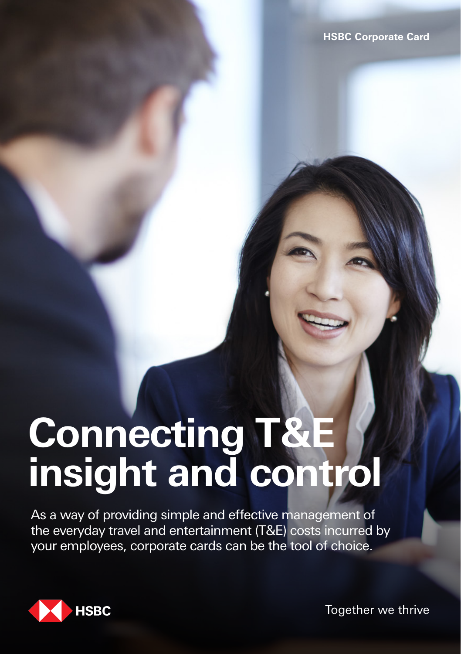# **Connecting T&E insight and control**

As a way of providing simple and effective management of the everyday travel and entertainment (T&E) costs incurred by your employees, corporate cards can be the tool of choice.



Together we thrive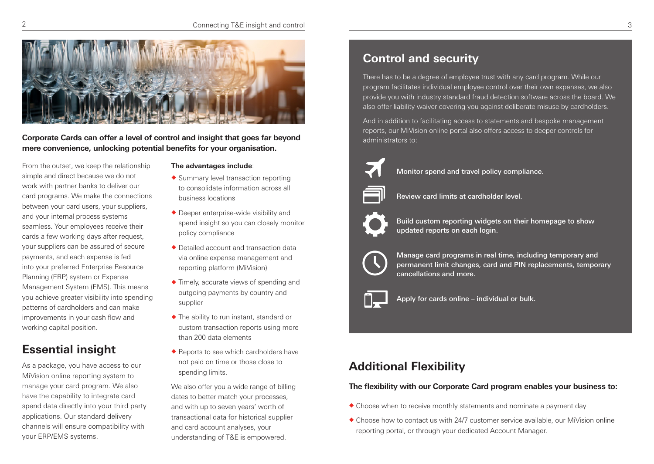

**Corporate Cards can offer a level of control and insight that goes far beyond mere convenience, unlocking potential benefits for your organisation.**

From the outset, we keep the relationship simple and direct because we do not work with partner banks to deliver our card programs. We make the connections between your card users, your suppliers, and your internal process systems seamless. Your employees receive their cards a few working days after request, your suppliers can be assured of secure payments, and each expense is fed into your preferred Enterprise Resource Planning (ERP) system or Expense Management System (EMS). This means you achieve greater visibility into spending patterns of cardholders and can make improvements in your cash flow and working capital position.

# **Essential insight**

As a package, you have access to our MiVision online reporting system to manage your card program. We also have the capability to integrate card spend data directly into your third party applications. Our standard delivery channels will ensure compatibility with your ERP/EMS systems.

#### **The advantages include**:

- $\triangle$  Summary level transaction reporting to consolidate information across all business locations
- $\blacklozenge$  Deeper enterprise-wide visibility and spend insight so you can closely monitor policy compliance
- ◆ Detailed account and transaction data via online expense management and reporting platform (MiVision)
- $\triangle$  Timely, accurate views of spending and outgoing payments by country and supplier
- $\triangle$  The ability to run instant, standard or custom transaction reports using more than 200 data elements
- $\triangle$  Reports to see which cardholders have not paid on time or those close to spending limits.

We also offer you a wide range of billing dates to better match your processes, and with up to seven years' worth of transactional data for historical supplier and card account analyses, your understanding of T&E is empowered.

# **Control and security**

There has to be a degree of employee trust with any card program. While our program facilitates individual employee control over their own expenses, we also provide you with industry standard fraud detection software across the board. We also offer liability waiver covering you against deliberate misuse by cardholders.

And in addition to facilitating access to statements and bespoke management reports, our MiVision online portal also offers access to deeper controls for administrators to:



Monitor spend and travel policy compliance.



Review card limits at cardholder level.



Build custom reporting widgets on their homepage to show updated reports on each login.



Manage card programs in real time, including temporary and permanent limit changes, card and PIN replacements, temporary cancellations and more.



Apply for cards online – individual or bulk.

## **Additional Flexibility**

### **The flexibility with our Corporate Card program enables your business to:**

- $\triangle$  Choose when to receive monthly statements and nominate a payment day
- $\triangle$  Choose how to contact us with 24/7 customer service available, our MiVision online reporting portal, or through your dedicated Account Manager.